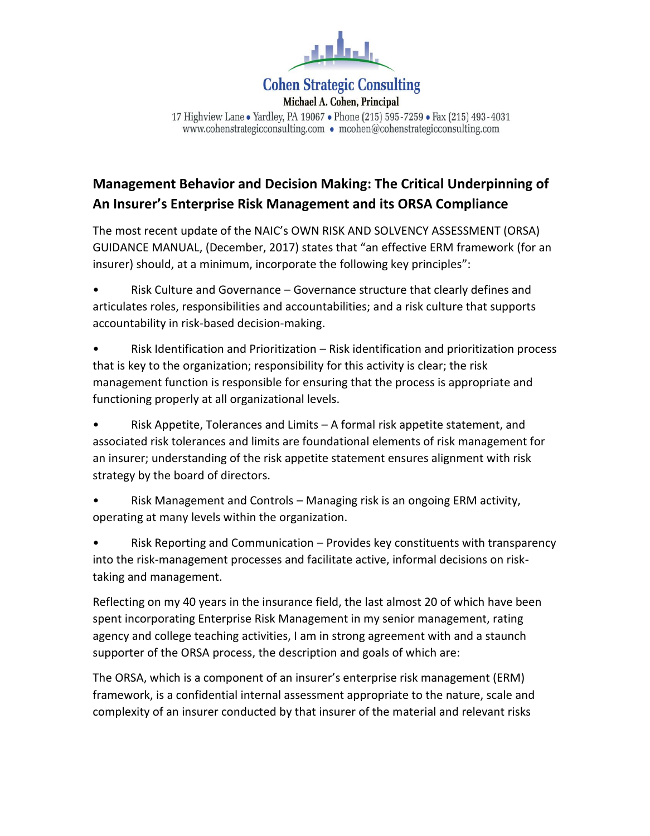

# **Cohen Strategic Consulting**

Michael A. Cohen, Principal 17 Highview Lane . Yardley, PA 19067 . Phone (215) 595-7259 . Fax (215) 493-4031 www.cohenstrategicconsulting.com • mcohen@cohenstrategicconsulting.com

# **Management Behavior and Decision Making: The Critical Underpinning of An Insurer's Enterprise Risk Management and its ORSA Compliance**

The most recent update of the NAIC's OWN RISK AND SOLVENCY ASSESSMENT (ORSA) GUIDANCE MANUAL, (December, 2017) states that "an effective ERM framework (for an insurer) should, at a minimum, incorporate the following key principles":

• Risk Culture and Governance – Governance structure that clearly defines and articulates roles, responsibilities and accountabilities; and a risk culture that supports accountability in risk-based decision-making.

• Risk Identification and Prioritization – Risk identification and prioritization process that is key to the organization; responsibility for this activity is clear; the risk management function is responsible for ensuring that the process is appropriate and functioning properly at all organizational levels.

• Risk Appetite, Tolerances and Limits – A formal risk appetite statement, and associated risk tolerances and limits are foundational elements of risk management for an insurer; understanding of the risk appetite statement ensures alignment with risk strategy by the board of directors.

• Risk Management and Controls – Managing risk is an ongoing ERM activity, operating at many levels within the organization.

• Risk Reporting and Communication – Provides key constituents with transparency into the risk-management processes and facilitate active, informal decisions on risktaking and management.

Reflecting on my 40 years in the insurance field, the last almost 20 of which have been spent incorporating Enterprise Risk Management in my senior management, rating agency and college teaching activities, I am in strong agreement with and a staunch supporter of the ORSA process, the description and goals of which are:

The ORSA, which is a component of an insurer's enterprise risk management (ERM) framework, is a confidential internal assessment appropriate to the nature, scale and complexity of an insurer conducted by that insurer of the material and relevant risks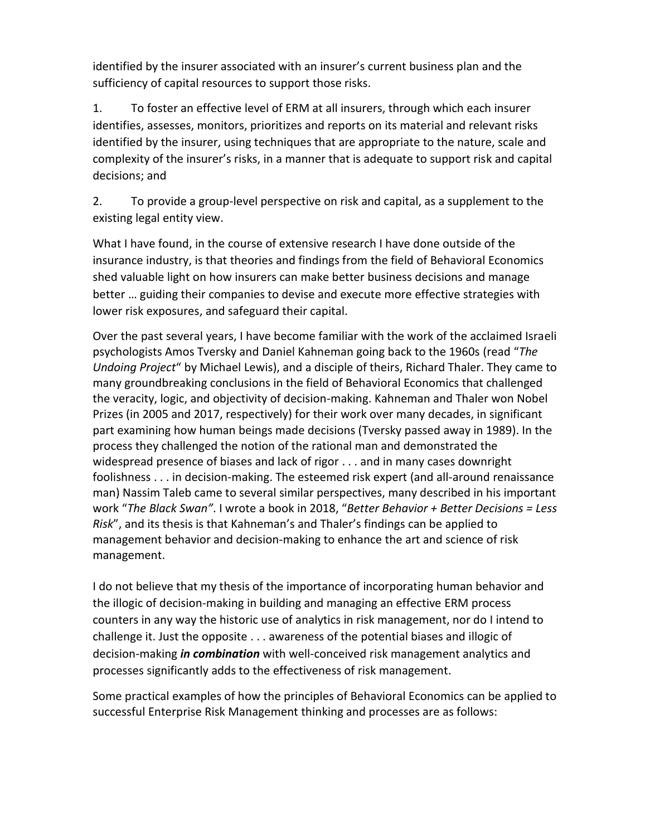identified by the insurer associated with an insurer's current business plan and the sufficiency of capital resources to support those risks.

1. To foster an effective level of ERM at all insurers, through which each insurer identifies, assesses, monitors, prioritizes and reports on its material and relevant risks identified by the insurer, using techniques that are appropriate to the nature, scale and complexity of the insurer's risks, in a manner that is adequate to support risk and capital decisions; and

2. To provide a group-level perspective on risk and capital, as a supplement to the existing legal entity view.

What I have found, in the course of extensive research I have done outside of the insurance industry, is that theories and findings from the field of Behavioral Economics shed valuable light on how insurers can make better business decisions and manage better … guiding their companies to devise and execute more effective strategies with lower risk exposures, and safeguard their capital.

Over the past several years, I have become familiar with the work of the acclaimed Israeli psychologists Amos Tversky and Daniel Kahneman going back to the 1960s (read "*The Undoing Project*" by Michael Lewis), and a disciple of theirs, Richard Thaler. They came to many groundbreaking conclusions in the field of Behavioral Economics that challenged the veracity, logic, and objectivity of decision-making. Kahneman and Thaler won Nobel Prizes (in 2005 and 2017, respectively) for their work over many decades, in significant part examining how human beings made decisions (Tversky passed away in 1989). In the process they challenged the notion of the rational man and demonstrated the widespread presence of biases and lack of rigor . . . and in many cases downright foolishness . . . in decision-making. The esteemed risk expert (and all-around renaissance man) Nassim Taleb came to several similar perspectives, many described in his important work "*The Black Swan"*. I wrote a book in 2018, "*Better Behavior + Better Decisions = Less Risk*", and its thesis is that Kahneman's and Thaler's findings can be applied to management behavior and decision-making to enhance the art and science of risk management.

I do not believe that my thesis of the importance of incorporating human behavior and the illogic of decision-making in building and managing an effective ERM process counters in any way the historic use of analytics in risk management, nor do I intend to challenge it. Just the opposite . . . awareness of the potential biases and illogic of decision-making *in combination* with well-conceived risk management analytics and processes significantly adds to the effectiveness of risk management.

Some practical examples of how the principles of Behavioral Economics can be applied to successful Enterprise Risk Management thinking and processes are as follows: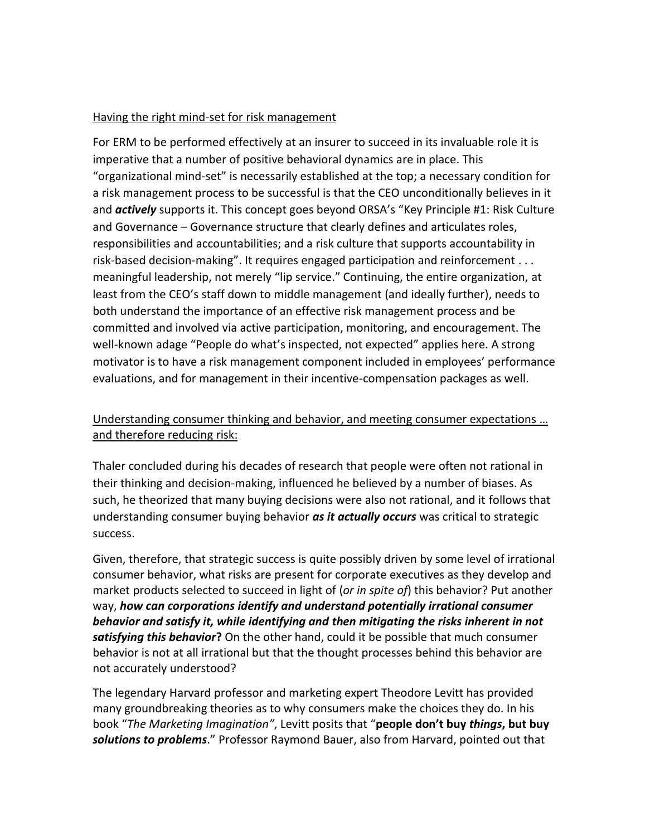#### Having the right mind-set for risk management

For ERM to be performed effectively at an insurer to succeed in its invaluable role it is imperative that a number of positive behavioral dynamics are in place. This "organizational mind-set" is necessarily established at the top; a necessary condition for a risk management process to be successful is that the CEO unconditionally believes in it and *actively* supports it. This concept goes beyond ORSA's "Key Principle #1: Risk Culture and Governance – Governance structure that clearly defines and articulates roles, responsibilities and accountabilities; and a risk culture that supports accountability in risk-based decision-making". It requires engaged participation and reinforcement . . . meaningful leadership, not merely "lip service." Continuing, the entire organization, at least from the CEO's staff down to middle management (and ideally further), needs to both understand the importance of an effective risk management process and be committed and involved via active participation, monitoring, and encouragement. The well-known adage "People do what's inspected, not expected" applies here. A strong motivator is to have a risk management component included in employees' performance evaluations, and for management in their incentive-compensation packages as well.

### Understanding consumer thinking and behavior, and meeting consumer expectations … and therefore reducing risk:

Thaler concluded during his decades of research that people were often not rational in their thinking and decision-making, influenced he believed by a number of biases. As such, he theorized that many buying decisions were also not rational, and it follows that understanding consumer buying behavior *as it actually occurs* was critical to strategic success.

Given, therefore, that strategic success is quite possibly driven by some level of irrational consumer behavior, what risks are present for corporate executives as they develop and market products selected to succeed in light of (*or in spite of*) this behavior? Put another way, *how can corporations identify and understand potentially irrational consumer behavior and satisfy it, while identifying and then mitigating the risks inherent in not satisfying this behavior***?** On the other hand, could it be possible that much consumer behavior is not at all irrational but that the thought processes behind this behavior are not accurately understood?

The legendary Harvard professor and marketing expert Theodore Levitt has provided many groundbreaking theories as to why consumers make the choices they do. In his book "*The Marketing Imagination"*, Levitt posits that "**people don't buy** *things***, but buy**  *solutions to problems*." Professor Raymond Bauer, also from Harvard, pointed out that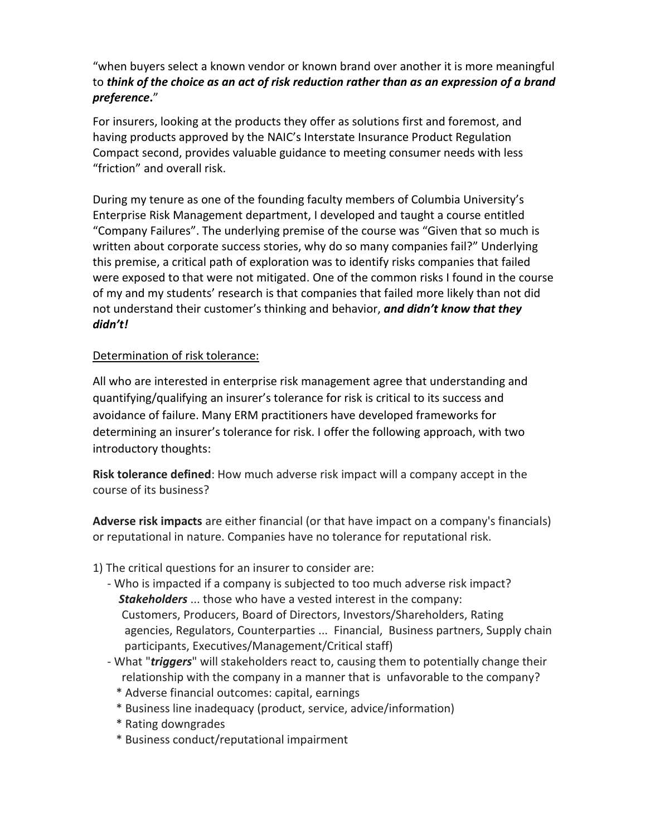"when buyers select a known vendor or known brand over another it is more meaningful to *think of the choice as an act of risk reduction rather than as an expression of a brand preference***.**"

For insurers, looking at the products they offer as solutions first and foremost, and having products approved by the NAIC's Interstate Insurance Product Regulation Compact second, provides valuable guidance to meeting consumer needs with less "friction" and overall risk.

During my tenure as one of the founding faculty members of Columbia University's Enterprise Risk Management department, I developed and taught a course entitled "Company Failures". The underlying premise of the course was "Given that so much is written about corporate success stories, why do so many companies fail?" Underlying this premise, a critical path of exploration was to identify risks companies that failed were exposed to that were not mitigated. One of the common risks I found in the course of my and my students' research is that companies that failed more likely than not did not understand their customer's thinking and behavior, *and didn't know that they didn't!*

### Determination of risk tolerance:

All who are interested in enterprise risk management agree that understanding and quantifying/qualifying an insurer's tolerance for risk is critical to its success and avoidance of failure. Many ERM practitioners have developed frameworks for determining an insurer's tolerance for risk. I offer the following approach, with two introductory thoughts:

**Risk tolerance defined**: How much adverse risk impact will a company accept in the course of its business?

**Adverse risk impacts** are either financial (or that have impact on a company's financials) or reputational in nature. Companies have no tolerance for reputational risk.

- 1) The critical questions for an insurer to consider are:
	- Who is impacted if a company is subjected to too much adverse risk impact? *Stakeholders* ... those who have a vested interest in the company: Customers, Producers, Board of Directors, Investors/Shareholders, Rating agencies, Regulators, Counterparties ... Financial, Business partners, Supply chain participants, Executives/Management/Critical staff)
	- What "*triggers*" will stakeholders react to, causing them to potentially change their relationship with the company in a manner that is unfavorable to the company?
		- \* Adverse financial outcomes: capital, earnings
		- \* Business line inadequacy (product, service, advice/information)
		- \* Rating downgrades
		- \* Business conduct/reputational impairment